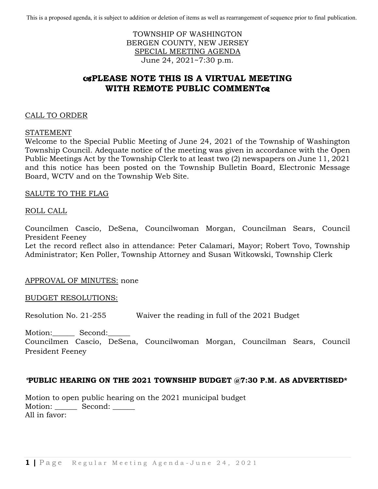This is a proposed agenda, it is subject to addition or deletion of items as well as rearrangement of sequence prior to final publication.

TOWNSHIP OF WASHINGTON BERGEN COUNTY, NEW JERSEY SPECIAL MEETING AGENDA June 24, 2021~7:30 p.m.

# **PLEASE NOTE THIS IS A VIRTUAL MEETING WITH REMOTE PUBLIC COMMENT**

### CALL TO ORDER

#### STATEMENT

Welcome to the Special Public Meeting of June 24, 2021 of the Township of Washington Township Council. Adequate notice of the meeting was given in accordance with the Open Public Meetings Act by the Township Clerk to at least two (2) newspapers on June 11, 2021 and this notice has been posted on the Township Bulletin Board, Electronic Message Board, WCTV and on the Township Web Site.

#### SALUTE TO THE FLAG

#### ROLL CALL

Councilmen Cascio, DeSena, Councilwoman Morgan, Councilman Sears, Council President Feeney

Let the record reflect also in attendance: Peter Calamari, Mayor; Robert Tovo, Township Administrator; Ken Poller, Township Attorney and Susan Witkowski, Township Clerk

#### APPROVAL OF MINUTES: none

#### BUDGET RESOLUTIONS:

Resolution No. 21-255 Waiver the reading in full of the 2021 Budget

Motion: Second:

Councilmen Cascio, DeSena, Councilwoman Morgan, Councilman Sears, Council President Feeney

### *\****PUBLIC HEARING ON THE 2021 TOWNSHIP BUDGET @7:30 P.M. AS ADVERTISED\***

Motion to open public hearing on the 2021 municipal budget Motion: Second: \_\_\_\_\_\_ All in favor: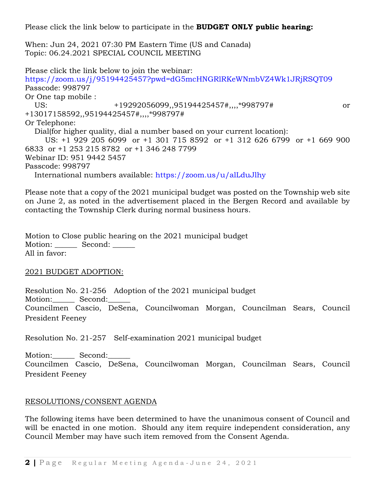Please click the link below to participate in the **BUDGET ONLY public hearing:**

When: Jun 24, 2021 07:30 PM Eastern Time (US and Canada) Topic: 06.24.2021 SPECIAL COUNCIL MEETING

Please click the link below to join the webinar: <https://zoom.us/j/95194425457?pwd=dG5mcHNGRlRKeWNmbVZ4Wk1JRjRSQT09> Passcode: 998797 Or One tap mobile : US: +19292056099,,95194425457#,,,,\*998797# or +13017158592,,95194425457#,,,,\*998797# Or Telephone: Dial(for higher quality, dial a number based on your current location): US: +1 929 205 6099 or +1 301 715 8592 or +1 312 626 6799 or +1 669 900 6833 or +1 253 215 8782 or +1 346 248 7799 Webinar ID: 951 9442 5457 Passcode: 998797 International numbers available:<https://zoom.us/u/alLduJlhy>

Please note that a copy of the 2021 municipal budget was posted on the Township web site on June 2, as noted in the advertisement placed in the Bergen Record and available by contacting the Township Clerk during normal business hours.

Motion to Close public hearing on the 2021 municipal budget Motion: Second: All in favor:

#### 2021 BUDGET ADOPTION:

Resolution No. 21-256 Adoption of the 2021 municipal budget Motion: Second: Councilmen Cascio, DeSena, Councilwoman Morgan, Councilman Sears, Council President Feeney

Resolution No. 21-257 Self-examination 2021 municipal budget

Motion: Second: Councilmen Cascio, DeSena, Councilwoman Morgan, Councilman Sears, Council President Feeney

### RESOLUTIONS/CONSENT AGENDA

The following items have been determined to have the unanimous consent of Council and will be enacted in one motion. Should any item require independent consideration, any Council Member may have such item removed from the Consent Agenda.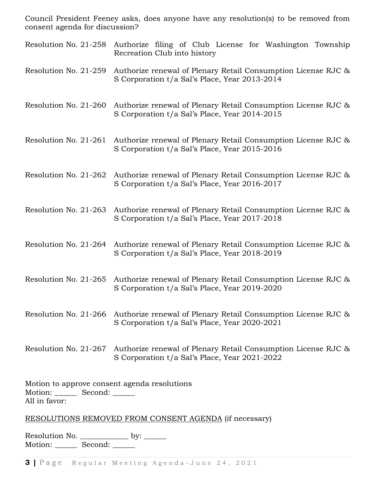Council President Feeney asks, does anyone have any resolution(s) to be removed from consent agenda for discussion?

- Resolution No. 21-258 Authorize filing of Club License for Washington Township Recreation Club into history
- Resolution No. 21-259 Authorize renewal of Plenary Retail Consumption License RJC & S Corporation t/a Sal's Place, Year 2013-2014
- Resolution No. 21-260 Authorize renewal of Plenary Retail Consumption License RJC & S Corporation t/a Sal's Place, Year 2014-2015
- Resolution No. 21-261 Authorize renewal of Plenary Retail Consumption License RJC & S Corporation t/a Sal's Place, Year 2015-2016
- Resolution No. 21-262 Authorize renewal of Plenary Retail Consumption License RJC & S Corporation t/a Sal's Place, Year 2016-2017
- Resolution No. 21-263 Authorize renewal of Plenary Retail Consumption License RJC & S Corporation t/a Sal's Place, Year 2017-2018
- Resolution No. 21-264 Authorize renewal of Plenary Retail Consumption License RJC & S Corporation t/a Sal's Place, Year 2018-2019
- Resolution No. 21-265 Authorize renewal of Plenary Retail Consumption License RJC & S Corporation t/a Sal's Place, Year 2019-2020
- Resolution No. 21-266 Authorize renewal of Plenary Retail Consumption License RJC & S Corporation t/a Sal's Place, Year 2020-2021
- Resolution No. 21-267 Authorize renewal of Plenary Retail Consumption License RJC & S Corporation t/a Sal's Place, Year 2021-2022

Motion to approve consent agenda resolutions Motion: Second: \_\_\_\_\_\_ All in favor:

### RESOLUTIONS REMOVED FROM CONSENT AGENDA (if necessary)

Resolution No. \_\_\_\_\_\_\_\_\_\_\_\_\_ by: \_\_\_\_\_\_ Motion: \_\_\_\_\_\_\_ Second: \_\_\_\_\_\_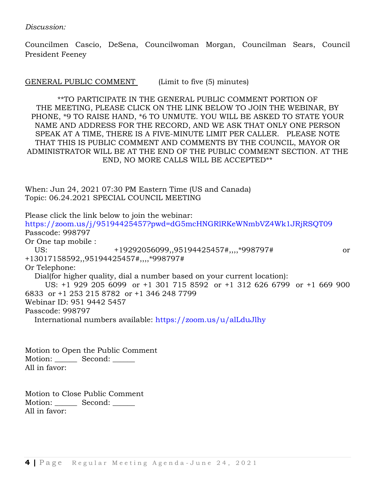*Discussion:*

Councilmen Cascio, DeSena, Councilwoman Morgan, Councilman Sears, Council President Feeney

GENERAL PUBLIC COMMENT (Limit to five (5) minutes)

\*\*TO PARTICIPATE IN THE GENERAL PUBLIC COMMENT PORTION OF THE MEETING, PLEASE CLICK ON THE LINK BELOW TO JOIN THE WEBINAR, BY PHONE, \*9 TO RAISE HAND, \*6 TO UNMUTE. YOU WILL BE ASKED TO STATE YOUR NAME AND ADDRESS FOR THE RECORD, AND WE ASK THAT ONLY ONE PERSON SPEAK AT A TIME, THERE IS A FIVE-MINUTE LIMIT PER CALLER. PLEASE NOTE THAT THIS IS PUBLIC COMMENT AND COMMENTS BY THE COUNCIL, MAYOR OR ADMINISTRATOR WILL BE AT THE END OF THE PUBLIC COMMENT SECTION. AT THE END, NO MORE CALLS WILL BE ACCEPTED\*\*

When: Jun 24, 2021 07:30 PM Eastern Time (US and Canada) Topic: 06.24.2021 SPECIAL COUNCIL MEETING

Please click the link below to join the webinar: <https://zoom.us/j/95194425457?pwd=dG5mcHNGRlRKeWNmbVZ4Wk1JRjRSQT09> Passcode: 998797 Or One tap mobile : US: +19292056099,,95194425457#,,,,\*998797# or +13017158592,,95194425457#,,,,\*998797# Or Telephone: Dial(for higher quality, dial a number based on your current location): US: +1 929 205 6099 or +1 301 715 8592 or +1 312 626 6799 or +1 669 900 6833 or +1 253 215 8782 or +1 346 248 7799 Webinar ID: 951 9442 5457 Passcode: 998797 International numbers available:<https://zoom.us/u/alLduJlhy>

Motion to Open the Public Comment Motion: Second: All in favor:

Motion to Close Public Comment Motion: Second: \_\_\_\_\_\_ All in favor: